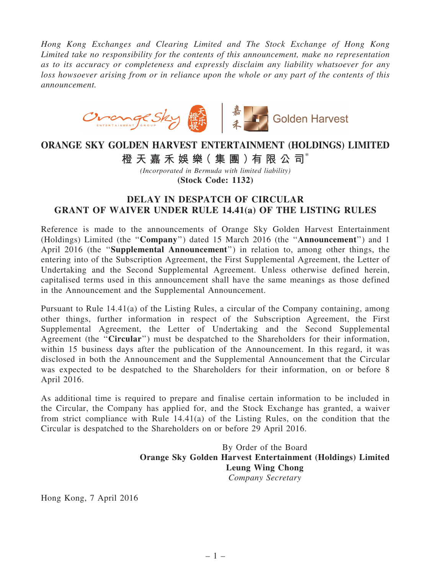*Hong Kong Exchanges and Clearing Limited and The Stock Exchange of Hong Kong Limited take no responsibility for the contents of this announcement, make no representation as to its accuracy or completeness and expressly disclaim any liability whatsoever for any loss howsoever arising from or in reliance upon the whole or any part of the contents of this announcement.*



## ORANGE SKY GOLDEN HARVEST ENTERTAINMENT (HOLDINGS) LIMITED

橙 天 嘉 禾 娛 樂 (集 團 ) 有 限 公 司 $^*$ 

*(Incorporated in Bermuda with limited liability)* (Stock Code: 1132)

## DELAY IN DESPATCH OF CIRCULAR GRANT OF WAIVER UNDER RULE 14.41(a) OF THE LISTING RULES

Reference is made to the announcements of Orange Sky Golden Harvest Entertainment (Holdings) Limited (the ''Company'') dated 15 March 2016 (the ''Announcement'') and 1 April 2016 (the ''Supplemental Announcement'') in relation to, among other things, the entering into of the Subscription Agreement, the First Supplemental Agreement, the Letter of Undertaking and the Second Supplemental Agreement. Unless otherwise defined herein, capitalised terms used in this announcement shall have the same meanings as those defined in the Announcement and the Supplemental Announcement.

Pursuant to Rule 14.41(a) of the Listing Rules, a circular of the Company containing, among other things, further information in respect of the Subscription Agreement, the First Supplemental Agreement, the Letter of Undertaking and the Second Supplemental Agreement (the "Circular") must be despatched to the Shareholders for their information, within 15 business days after the publication of the Announcement. In this regard, it was disclosed in both the Announcement and the Supplemental Announcement that the Circular was expected to be despatched to the Shareholders for their information, on or before 8 April 2016.

As additional time is required to prepare and finalise certain information to be included in the Circular, the Company has applied for, and the Stock Exchange has granted, a waiver from strict compliance with Rule 14.41(a) of the Listing Rules, on the condition that the Circular is despatched to the Shareholders on or before 29 April 2016.

> By Order of the Board Orange Sky Golden Harvest Entertainment (Holdings) Limited Leung Wing Chong *Company Secretary*

Hong Kong, 7 April 2016